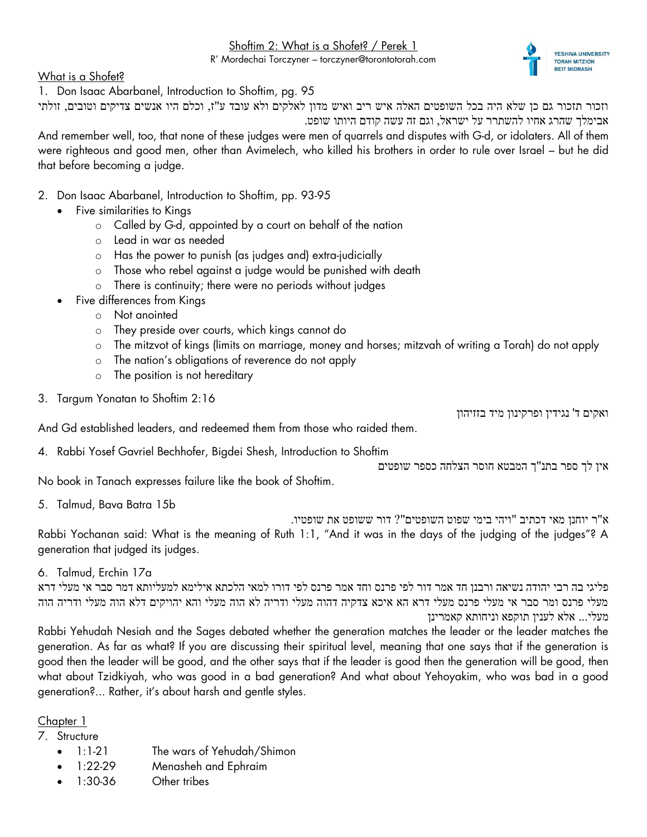Shoftim 2: What is a Shofet? / Perek 1

R' Mordechai Torczyner – torczyner@torontotorah.com

What is a Shofet?

1. Don Isaac Abarbanel, Introduction to Shoftim, pg. 95

וזכור תזכור גם כן שלא היה בכל השופטים האלה איש ריב ואיש מדון לאלקים ולא עובד ע"ז, וכלם היו אנשים צדיקים וטובים, זולתי אבימלך שהרג אחיו להשתרר על ישראל, וגם זה עשה קודם היותו שופט.

And remember well, too, that none of these judges were men of quarrels and disputes with G-d, or idolaters. All of them were righteous and good men, other than Avimelech, who killed his brothers in order to rule over Israel – but he did that before becoming a judge.

- 2. Don Isaac Abarbanel, Introduction to Shoftim, pp. 93-95
	- Five similarities to Kings
		- o Called by G-d, appointed by a court on behalf of the nation
		- o Lead in war as needed
		- o Has the power to punish (as judges and) extra-judicially
		- o Those who rebel against a judge would be punished with death
		- o There is continuity; there were no periods without judges
	- Five differences from Kings
		- o Not anointed
		- o They preside over courts, which kings cannot do
		- o The mitzvot of kings (limits on marriage, money and horses; mitzvah of writing a Torah) do not apply
		- o The nation's obligations of reverence do not apply
		- o The position is not hereditary
- 3. Targum Yonatan to Shoftim 2:16

ואקים ד' נגידין ופרקינון מיד בזזיהון

And Gd established leaders, and redeemed them from those who raided them.

4. Rabbi Yosef Gavriel Bechhofer, Bigdei Shesh, Introduction to Shoftim

אין לך ספר בתנ"ך המבטא חוסר הצלחה כספר שופטים

No book in Tanach expresses failure like the book of Shoftim.

5. Talmud, Bava Batra 15b

א"ר יוחנן מאי דכתיב "ויהי בימי שפוט השופטים"? דור ששופט את שופטיו.

Rabbi Yochanan said: What is the meaning of Ruth 1:1, "And it was in the days of the judging of the judges"? A generation that judged its judges.

6. Talmud, Erchin 17a

פליגי בה רבי יהודה נשיאה ורבנן חד אמר דור לפי פרנס וחד אמר פרנס לפי דורו למאי הלכתא אילימא למעליותא דמר סבר אי מעלי דרא מעלי פרנס ומר סבר אי מעלי פרנס מעלי דרא הא איכא צדקיה דהוה מעלי ודריה לא הוה מעלי והא יהויקים דלא הוה מעלי ודריה הוה מעלי... אלא לענין תוקפא וניחותא קאמרינן

Rabbi Yehudah Nesiah and the Sages debated whether the generation matches the leader or the leader matches the generation. As far as what? If you are discussing their spiritual level, meaning that one says that if the generation is good then the leader will be good, and the other says that if the leader is good then the generation will be good, then what about Tzidkiyah, who was good in a bad generation? And what about Yehoyakim, who was bad in a good generation?... Rather, it's about harsh and gentle styles.

Chapter 1

- 7. Structure
	- 1:1-21 The wars of Yehudah/Shimon
	- 1:22-29 Menasheh and Ephraim
	- 1:30-36 Other tribes